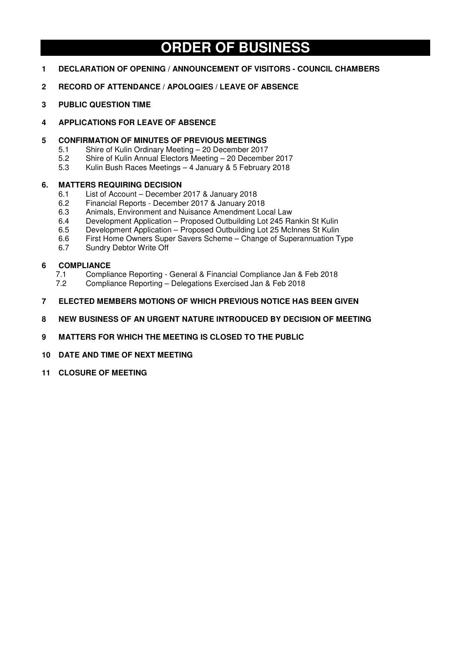# **ORDER OF BUSINESS**

- **1 DECLARATION OF OPENING / ANNOUNCEMENT OF VISITORS COUNCIL CHAMBERS**
- **2 RECORD OF ATTENDANCE / APOLOGIES / LEAVE OF ABSENCE**
- **3 PUBLIC QUESTION TIME**
- **4 APPLICATIONS FOR LEAVE OF ABSENCE**
- **5 CONFIRMATION OF MINUTES OF PREVIOUS MEETINGS** 
	- 5.1 Shire of Kulin Ordinary Meeting 20 December 2017<br>5.2 Shire of Kulin Annual Electors Meeting 20 Decembe
	- 5.2 Shire of Kulin Annual Electors Meeting 20 December 2017
	- 5.3 Kulin Bush Races Meetings 4 January & 5 February 2018

## **6. MATTERS REQUIRING DECISION**

- 6.1 List of Account December 2017 & January 2018
- 6.2 Financial Reports December 2017 & January 2018
- 6.3 Animals, Environment and Nuisance Amendment Local Law
- 6.4 Development Application Proposed Outbuilding Lot 245 Rankin St Kulin<br>6.5 Development Application Proposed Outbuilding Lot 25 McInnes St Kulin
- Development Application Proposed Outbuilding Lot 25 McInnes St Kulin
- 6.6 First Home Owners Super Savers Scheme Change of Superannuation Type 6.7 Sundry Debtor Write Off
- Sundry Debtor Write Off

## **6 COMPLIANCE**

- 7.1 Compliance Reporting General & Financial Compliance Jan & Feb 2018
- 7.2 Compliance Reporting Delegations Exercised Jan & Feb 2018
- **7 ELECTED MEMBERS MOTIONS OF WHICH PREVIOUS NOTICE HAS BEEN GIVEN**
- **8 NEW BUSINESS OF AN URGENT NATURE INTRODUCED BY DECISION OF MEETING**
- **9 MATTERS FOR WHICH THE MEETING IS CLOSED TO THE PUBLIC**
- **10 DATE AND TIME OF NEXT MEETING**
- **11 CLOSURE OF MEETING**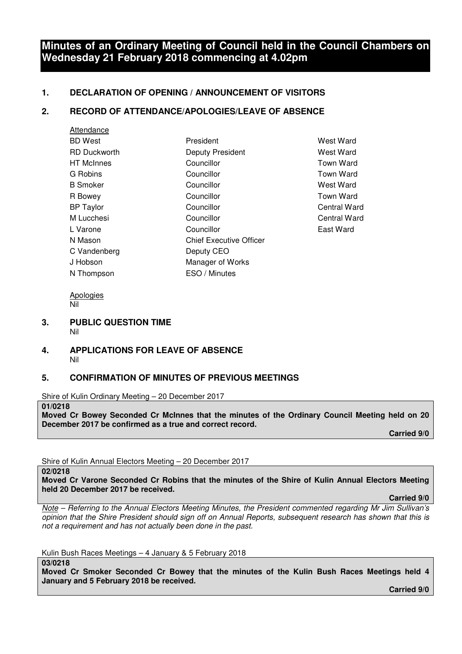# **Minutes of an Ordinary Meeting of Council held in the Council Chambers on Wednesday 21 February 2018 commencing at 4.02pm**

# **1. DECLARATION OF OPENING / ANNOUNCEMENT OF VISITORS**

## **2. RECORD OF ATTENDANCE/APOLOGIES/LEAVE OF ABSENCE**

| Attendance          |                                |
|---------------------|--------------------------------|
| <b>BD</b> West      | President                      |
| <b>RD Duckworth</b> | Deputy President               |
| <b>HT</b> McInnes   | Councillor                     |
| G Robins            | Councillor                     |
| <b>B</b> Smoker     | Councillor                     |
| R Bowey             | Councillor                     |
| <b>BP</b> Taylor    | Councillor                     |
| M Lucchesi          | Councillor                     |
| L Varone            | Councillor                     |
| N Mason             | <b>Chief Executive Officer</b> |
| C Vandenberg        | Deputy CEO                     |
| J Hobson            | Manager of Works               |
| N Thompson          | ESO / Minutes                  |

West Ward **West Ward** Town Ward Town Ward West Ward Town Ward Central Ward Central Ward East Ward

Apologies Nil

- **3. PUBLIC QUESTION TIME**  Nil
- **4. APPLICATIONS FOR LEAVE OF ABSENCE**  Nil

## **5. CONFIRMATION OF MINUTES OF PREVIOUS MEETINGS**

Shire of Kulin Ordinary Meeting – 20 December 2017

**01/0218** 

**Moved Cr Bowey Seconded Cr McInnes that the minutes of the Ordinary Council Meeting held on 20 December 2017 be confirmed as a true and correct record.** 

 **Carried 9/0** 

Shire of Kulin Annual Electors Meeting – 20 December 2017

**02/0218** 

**Moved Cr Varone Seconded Cr Robins that the minutes of the Shire of Kulin Annual Electors Meeting held 20 December 2017 be received.** 

 **Carried 9/0** 

*Note – Referring to the Annual Electors Meeting Minutes, the President commented regarding Mr Jim Sullivan's opinion that the Shire President should sign off on Annual Reports, subsequent research has shown that this is not a requirement and has not actually been done in the past.* 

Kulin Bush Races Meetings – 4 January & 5 February 2018

**03/0218** 

**Moved Cr Smoker Seconded Cr Bowey that the minutes of the Kulin Bush Races Meetings held 4 January and 5 February 2018 be received.** 

 **Carried 9/0**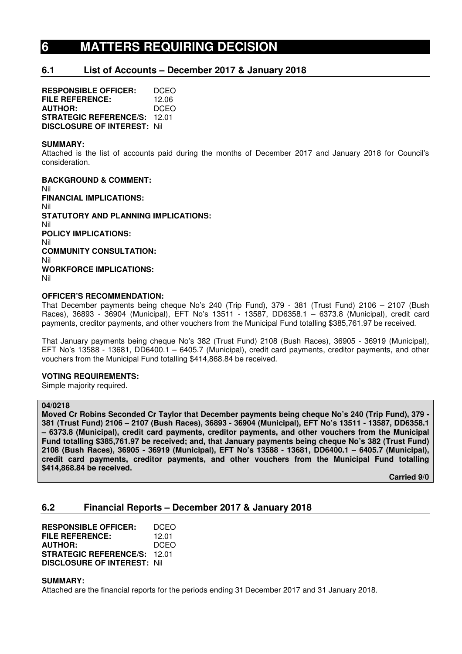# **6 MATTERS REQUIRING DECISION**

# **6.1 List of Accounts – December 2017 & January 2018**

**RESPONSIBLE OFFICER:** DCEO **FILE REFERENCE:** 12.06 **AUTHOR:** DCEO **STRATEGIC REFERENCE/S:** 12.01 **DISCLOSURE OF INTEREST:** Nil

#### **SUMMARY:**

Attached is the list of accounts paid during the months of December 2017 and January 2018 for Council's consideration.

**BACKGROUND & COMMENT:**  Nil **FINANCIAL IMPLICATIONS:**  Nil **STATUTORY AND PLANNING IMPLICATIONS:**  Nil **POLICY IMPLICATIONS:**  Nil **COMMUNITY CONSULTATION:**  Nil **WORKFORCE IMPLICATIONS:**  Nil

#### **OFFICER'S RECOMMENDATION:**

That December payments being cheque No's 240 (Trip Fund), 379 - 381 (Trust Fund) 2106 – 2107 (Bush Races), 36893 - 36904 (Municipal), EFT No's 13511 - 13587, DD6358.1 – 6373.8 (Municipal), credit card payments, creditor payments, and other vouchers from the Municipal Fund totalling \$385,761.97 be received.

That January payments being cheque No's 382 (Trust Fund) 2108 (Bush Races), 36905 - 36919 (Municipal), EFT No's 13588 - 13681, DD6400.1 – 6405.7 (Municipal), credit card payments, creditor payments, and other vouchers from the Municipal Fund totalling \$414,868.84 be received.

#### **VOTING REQUIREMENTS:**

Simple majority required.

## **04/0218**

**Moved Cr Robins Seconded Cr Taylor that December payments being cheque No's 240 (Trip Fund), 379 - 381 (Trust Fund) 2106 – 2107 (Bush Races), 36893 - 36904 (Municipal), EFT No's 13511 - 13587, DD6358.1 – 6373.8 (Municipal), credit card payments, creditor payments, and other vouchers from the Municipal Fund totalling \$385,761.97 be received; and, that January payments being cheque No's 382 (Trust Fund) 2108 (Bush Races), 36905 - 36919 (Municipal), EFT No's 13588 - 13681, DD6400.1 – 6405.7 (Municipal), credit card payments, creditor payments, and other vouchers from the Municipal Fund totalling \$414,868.84 be received.** 

 **Carried 9/0** 

## **6.2 Financial Reports – December 2017 & January 2018**

**RESPONSIBLE OFFICER:** DCEO **FILE REFERENCE:** 12.01 **AUTHOR:** DCEO **STRATEGIC REFERENCE/S:** 12.01 **DISCLOSURE OF INTEREST:** Nil

#### **SUMMARY:**

Attached are the financial reports for the periods ending 31 December 2017 and 31 January 2018.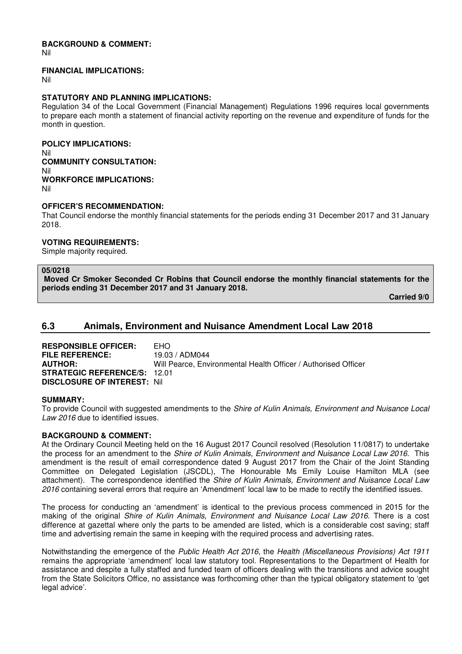## **BACKGROUND & COMMENT:**

Nil

## **FINANCIAL IMPLICATIONS:**

Nil

## **STATUTORY AND PLANNING IMPLICATIONS:**

Regulation 34 of the Local Government (Financial Management) Regulations 1996 requires local governments to prepare each month a statement of financial activity reporting on the revenue and expenditure of funds for the month in question.

## **POLICY IMPLICATIONS:**

Nil **COMMUNITY CONSULTATION:**  Nil **WORKFORCE IMPLICATIONS:**  Nil

#### **OFFICER'S RECOMMENDATION:**

That Council endorse the monthly financial statements for the periods ending 31 December 2017 and 31 January 2018.

## **VOTING REQUIREMENTS:**

Simple majority required.

#### **05/0218**

 **Moved Cr Smoker Seconded Cr Robins that Council endorse the monthly financial statements for the periods ending 31 December 2017 and 31 January 2018.** 

 **Carried 9/0** 

# **6.3 Animals, Environment and Nuisance Amendment Local Law 2018**

**RESPONSIBLE OFFICER:** EHO<br>FILE REFERENCE: 19.03 / ADM044 **FILE REFERENCE: AUTHOR:** Will Pearce, Environmental Health Officer / Authorised Officer **STRATEGIC REFERENCE/S:** 12.01 **DISCLOSURE OF INTEREST:** Nil

## **SUMMARY:**

To provide Council with suggested amendments to the *Shire of Kulin Animals, Environment and Nuisance Local Law 2016* due to identified issues*.*

## **BACKGROUND & COMMENT:**

At the Ordinary Council Meeting held on the 16 August 2017 Council resolved (Resolution 11/0817) to undertake the process for an amendment to the *Shire of Kulin Animals, Environment and Nuisance Local Law 2016.* This amendment is the result of email correspondence dated 9 August 2017 from the Chair of the Joint Standing Committee on Delegated Legislation (JSCDL), The Honourable Ms Emily Louise Hamilton MLA (see attachment). The correspondence identified the *Shire of Kulin Animals, Environment and Nuisance Local Law 2016* containing several errors that require an 'Amendment' local law to be made to rectify the identified issues.

The process for conducting an 'amendment' is identical to the previous process commenced in 2015 for the making of the original *Shire of Kulin Animals, Environment and Nuisance Local Law 2016*. There is a cost difference at gazettal where only the parts to be amended are listed, which is a considerable cost saving; staff time and advertising remain the same in keeping with the required process and advertising rates.

Notwithstanding the emergence of the *Public Health Act 2016,* the *Health (Miscellaneous Provisions) Act 1911* remains the appropriate 'amendment' local law statutory tool. Representations to the Department of Health for assistance and despite a fully staffed and funded team of officers dealing with the transitions and advice sought from the State Solicitors Office, no assistance was forthcoming other than the typical obligatory statement to 'get legal advice'.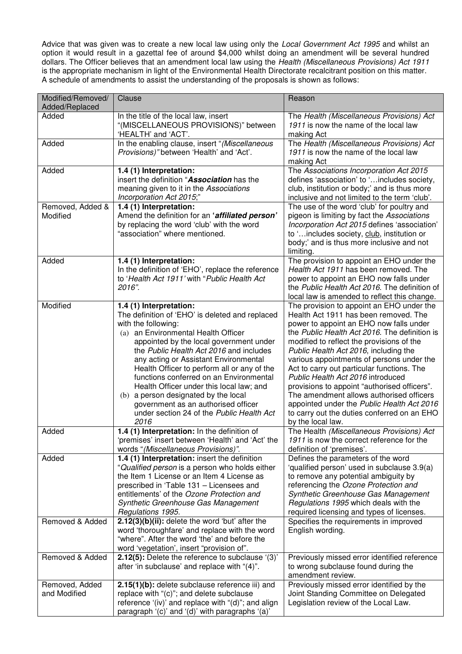Advice that was given was to create a new local law using only the *Local Government Act 1995* and whilst an option it would result in a gazettal fee of around \$4,000 whilst doing an amendment will be several hundred dollars. The Officer believes that an amendment local law using the *Health (Miscellaneous Provisions) Act 1911* is the appropriate mechanism in light of the Environmental Health Directorate recalcitrant position on this matter. A schedule of amendments to assist the understanding of the proposals is shown as follows:

| Modified/Removed/ | Clause                                                                                               | Reason                                                                                           |
|-------------------|------------------------------------------------------------------------------------------------------|--------------------------------------------------------------------------------------------------|
| Added/Replaced    |                                                                                                      |                                                                                                  |
| Added             | In the title of the local law, insert<br>"(MISCELLANEOUS PROVISIONS)" between<br>'HEALTH' and 'ACT'. | The Health (Miscellaneous Provisions) Act<br>1911 is now the name of the local law<br>making Act |
| Added             | In the enabling clause, insert "(Miscellaneous                                                       | The Health (Miscellaneous Provisions) Act                                                        |
|                   | Provisions)" between 'Health' and 'Act'.                                                             | 1911 is now the name of the local law<br>making Act                                              |
| Added             | 1.4 (1) Interpretation:                                                                              | The Associations Incorporation Act 2015                                                          |
|                   | insert the definition "Association has the                                                           | defines 'association' to 'includes society,                                                      |
|                   | meaning given to it in the Associations                                                              | club, institution or body;' and is thus more                                                     |
|                   | Incorporation Act 2015;"                                                                             | inclusive and not limited to the term 'club'.                                                    |
| Removed, Added &  | 1.4 (1) Interpretation:                                                                              | The use of the word 'club' for poultry and                                                       |
| Modified          | Amend the definition for an 'affiliated person'                                                      | pigeon is limiting by fact the Associations                                                      |
|                   | by replacing the word 'club' with the word                                                           | Incorporation Act 2015 defines 'association'                                                     |
|                   | "association" where mentioned.                                                                       | to ' includes society, club, institution or                                                      |
|                   |                                                                                                      | body;' and is thus more inclusive and not                                                        |
|                   |                                                                                                      | limiting.                                                                                        |
| Added             | 1.4 (1) Interpretation:                                                                              | The provision to appoint an EHO under the                                                        |
|                   | In the definition of 'EHO', replace the reference                                                    | Health Act 1911 has been removed. The                                                            |
|                   | to 'Health Act 1911' with "Public Health Act                                                         | power to appoint an EHO now falls under                                                          |
|                   | 2016".                                                                                               | the Public Health Act 2016. The definition of                                                    |
|                   |                                                                                                      | local law is amended to reflect this change.                                                     |
| Modified          | 1.4 (1) Interpretation:                                                                              | The provision to appoint an EHO under the                                                        |
|                   | The definition of 'EHO' is deleted and replaced                                                      | Health Act 1911 has been removed. The                                                            |
|                   | with the following:                                                                                  | power to appoint an EHO now falls under                                                          |
|                   | (a) an Environmental Health Officer                                                                  | the Public Health Act 2016. The definition is                                                    |
|                   | appointed by the local government under                                                              | modified to reflect the provisions of the                                                        |
|                   | the Public Health Act 2016 and includes                                                              | Public Health Act 2016, including the                                                            |
|                   | any acting or Assistant Environmental                                                                | various appointments of persons under the                                                        |
|                   | Health Officer to perform all or any of the                                                          | Act to carry out particular functions. The                                                       |
|                   | functions conferred on an Environmental                                                              | Public Health Act 2016 introduced                                                                |
|                   | Health Officer under this local law; and                                                             | provisions to appoint "authorised officers".                                                     |
|                   | (b) a person designated by the local                                                                 | The amendment allows authorised officers                                                         |
|                   | government as an authorised officer<br>under section 24 of the Public Health Act                     | appointed under the Public Health Act 2016                                                       |
|                   | 2016                                                                                                 | to carry out the duties conferred on an EHO<br>by the local law.                                 |
| Added             | 1.4 (1) Interpretation: In the definition of                                                         | The Health (Miscellaneous Provisions) Act                                                        |
|                   | 'premises' insert between 'Health' and 'Act' the                                                     | 1911 is now the correct reference for the                                                        |
|                   | words "(Miscellaneous Provisions)".                                                                  | definition of 'premises'.                                                                        |
| Added             | 1.4 (1) Interpretation: insert the definition                                                        | Defines the parameters of the word                                                               |
|                   | "Qualified person is a person who holds either                                                       | 'qualified person' used in subclause 3.9(a)                                                      |
|                   | the Item 1 License or an Item 4 License as                                                           | to remove any potential ambiguity by                                                             |
|                   | prescribed in 'Table 131 - Licensees and                                                             | referencing the Ozone Protection and                                                             |
|                   | entitlements' of the Ozone Protection and                                                            | Synthetic Greenhouse Gas Management                                                              |
|                   | Synthetic Greenhouse Gas Management                                                                  | Regulations 1995 which deals with the                                                            |
|                   | Regulations 1995.                                                                                    | required licensing and types of licenses.                                                        |
| Removed & Added   | 2.12(3)(b)(ii): delete the word 'but' after the                                                      | Specifies the requirements in improved                                                           |
|                   | word 'thoroughfare' and replace with the word                                                        | English wording.                                                                                 |
|                   | "where". After the word 'the' and before the                                                         |                                                                                                  |
|                   | word 'vegetation', insert "provision of".                                                            |                                                                                                  |
| Removed & Added   | 2.12(5): Delete the reference to subclause '(3)'                                                     | Previously missed error identified reference                                                     |
|                   | after 'in subclause' and replace with "(4)".                                                         | to wrong subclause found during the                                                              |
|                   |                                                                                                      | amendment review.                                                                                |
| Removed, Added    | 2.15(1)(b): delete subclause reference iii) and                                                      | Previously missed error identified by the                                                        |
| and Modified      | replace with "(c)"; and delete subclause                                                             | Joint Standing Committee on Delegated                                                            |
|                   | reference '(iv)' and replace with "(d)"; and align                                                   | Legislation review of the Local Law.                                                             |
|                   | paragraph '(c)' and '(d)' with paragraphs '(a)'                                                      |                                                                                                  |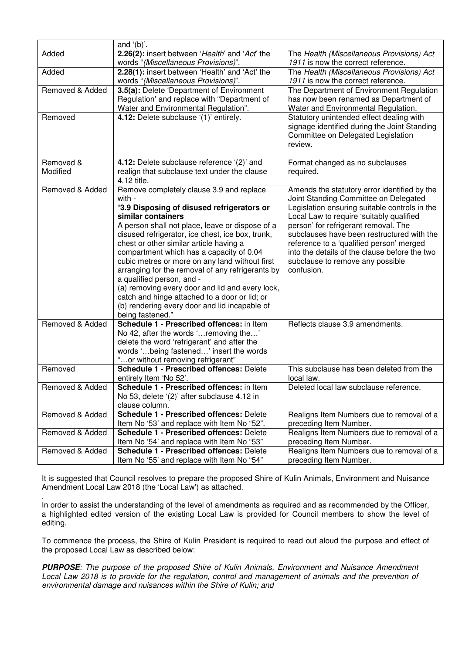|                 | and $'(b)$ .                                     |                                               |
|-----------------|--------------------------------------------------|-----------------------------------------------|
| Added           | 2.26(2): insert between 'Health' and 'Act' the   | The Health (Miscellaneous Provisions) Act     |
|                 | words "(Miscellaneous Provisions)".              | 1911 is now the correct reference.            |
| Added           | 2.28(1): insert between 'Health' and 'Act' the   | The Health (Miscellaneous Provisions) Act     |
|                 | words "(Miscellaneous Provisions)".              | 1911 is now the correct reference.            |
| Removed & Added | 3.5(a): Delete 'Department of Environment        | The Department of Environment Regulation      |
|                 | Regulation' and replace with "Department of      | has now been renamed as Department of         |
|                 | Water and Environmental Regulation".             | Water and Environmental Regulation.           |
| Removed         | 4.12: Delete subclause '(1)' entirely.           | Statutory unintended effect dealing with      |
|                 |                                                  | signage identified during the Joint Standing  |
|                 |                                                  | Committee on Delegated Legislation            |
|                 |                                                  | review.                                       |
|                 |                                                  |                                               |
| Removed &       | 4.12: Delete subclause reference '(2)' and       | Format changed as no subclauses               |
| Modified        | realign that subclause text under the clause     | required.                                     |
|                 | 4.12 title.                                      |                                               |
| Removed & Added | Remove completely clause 3.9 and replace         | Amends the statutory error identified by the  |
|                 | with -                                           | Joint Standing Committee on Delegated         |
|                 | "3.9 Disposing of disused refrigerators or       | Legislation ensuring suitable controls in the |
|                 | similar containers                               | Local Law to require 'suitably qualified      |
|                 | A person shall not place, leave or dispose of a  | person' for refrigerant removal. The          |
|                 | disused refrigerator, ice chest, ice box, trunk, | subclauses have been restructured with the    |
|                 | chest or other similar article having a          | reference to a 'qualified person' merged      |
|                 | compartment which has a capacity of 0.04         | into the details of the clause before the two |
|                 | cubic metres or more on any land without first   | subclause to remove any possible              |
|                 | arranging for the removal of any refrigerants by | confusion.                                    |
|                 | a qualified person, and -                        |                                               |
|                 | (a) removing every door and lid and every lock,  |                                               |
|                 | catch and hinge attached to a door or lid; or    |                                               |
|                 | (b) rendering every door and lid incapable of    |                                               |
|                 | being fastened."                                 |                                               |
| Removed & Added | Schedule 1 - Prescribed offences: in Item        | Reflects clause 3.9 amendments.               |
|                 | No 42, after the words ' removing the'           |                                               |
|                 | delete the word 'refrigerant' and after the      |                                               |
|                 | words 'being fastened' insert the words          |                                               |
|                 | "or without removing refrigerant"                |                                               |
| Removed         | Schedule 1 - Prescribed offences: Delete         | This subclause has been deleted from the      |
|                 | entirely Item 'No 52'.                           | local law.                                    |
| Removed & Added | Schedule 1 - Prescribed offences: in Item        | Deleted local law subclause reference.        |
|                 | No 53, delete '(2)' after subclause 4.12 in      |                                               |
|                 | clause column.                                   |                                               |
| Removed & Added | <b>Schedule 1 - Prescribed offences: Delete</b>  | Realigns Item Numbers due to removal of a     |
|                 | Item No '53' and replace with Item No "52".      | preceding Item Number.                        |
| Removed & Added | Schedule 1 - Prescribed offences: Delete         | Realigns Item Numbers due to removal of a     |
|                 | Item No '54' and replace with Item No "53"       | preceding Item Number.                        |
| Removed & Added | <b>Schedule 1 - Prescribed offences: Delete</b>  | Realigns Item Numbers due to removal of a     |
|                 | Item No '55' and replace with Item No "54"       | preceding Item Number.                        |

It is suggested that Council resolves to prepare the proposed Shire of Kulin Animals, Environment and Nuisance Amendment Local Law 2018 (the 'Local Law') as attached.

. In order to assist the understanding of the level of amendments as required and as recommended by the Officer, a highlighted edited version of the existing Local Law is provided for Council members to show the level of editing.

To commence the process, the Shire of Kulin President is required to read out aloud the purpose and effect of the proposed Local Law as described below:

*PURPOSE: The purpose of the proposed Shire of Kulin Animals, Environment and Nuisance Amendment Local Law 2018 is to provide for the regulation, control and management of animals and the prevention of environmental damage and nuisances within the Shire of Kulin; and*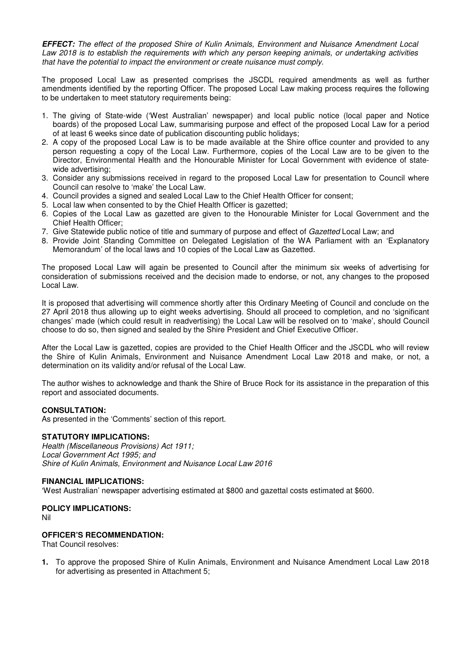*EFFECT: The effect of the proposed Shire of Kulin Animals, Environment and Nuisance Amendment Local Law 2018 is to establish the requirements with which any person keeping animals, or undertaking activities that have the potential to impact the environment or create nuisance must comply.* 

The proposed Local Law as presented comprises the JSCDL required amendments as well as further amendments identified by the reporting Officer. The proposed Local Law making process requires the following to be undertaken to meet statutory requirements being:

- 1. The giving of State-wide ('West Australian' newspaper) and local public notice (local paper and Notice boards) of the proposed Local Law, summarising purpose and effect of the proposed Local Law for a period of at least 6 weeks since date of publication discounting public holidays;
- 2. A copy of the proposed Local Law is to be made available at the Shire office counter and provided to any person requesting a copy of the Local Law. Furthermore, copies of the Local Law are to be given to the Director, Environmental Health and the Honourable Minister for Local Government with evidence of statewide advertising;
- 3. Consider any submissions received in regard to the proposed Local Law for presentation to Council where Council can resolve to 'make' the Local Law.
- 4. Council provides a signed and sealed Local Law to the Chief Health Officer for consent;
- 5. Local law when consented to by the Chief Health Officer is gazetted;
- 6. Copies of the Local Law as gazetted are given to the Honourable Minister for Local Government and the Chief Health Officer;
- 7. Give Statewide public notice of title and summary of purpose and effect of *Gazetted* Local Law; and
- 8. Provide Joint Standing Committee on Delegated Legislation of the WA Parliament with an 'Explanatory Memorandum' of the local laws and 10 copies of the Local Law as Gazetted.

The proposed Local Law will again be presented to Council after the minimum six weeks of advertising for consideration of submissions received and the decision made to endorse, or not, any changes to the proposed Local Law.

It is proposed that advertising will commence shortly after this Ordinary Meeting of Council and conclude on the 27 April 2018 thus allowing up to eight weeks advertising. Should all proceed to completion, and no 'significant changes' made (which could result in readvertising) the Local Law will be resolved on to 'make', should Council choose to do so, then signed and sealed by the Shire President and Chief Executive Officer.

After the Local Law is gazetted, copies are provided to the Chief Health Officer and the JSCDL who will review the Shire of Kulin Animals, Environment and Nuisance Amendment Local Law 2018 and make, or not, a determination on its validity and/or refusal of the Local Law.

The author wishes to acknowledge and thank the Shire of Bruce Rock for its assistance in the preparation of this report and associated documents.

## **CONSULTATION:**

As presented in the 'Comments' section of this report.

#### **STATUTORY IMPLICATIONS:**

*Health (Miscellaneous Provisions) Act 1911; Local Government Act 1995; and Shire of Kulin Animals, Environment and Nuisance Local Law 2016* 

#### **FINANCIAL IMPLICATIONS:**

'West Australian' newspaper advertising estimated at \$800 and gazettal costs estimated at \$600.

**POLICY IMPLICATIONS:**  Nil

## **OFFICER'S RECOMMENDATION:**

That Council resolves:

**1.** To approve the proposed Shire of Kulin Animals, Environment and Nuisance Amendment Local Law 2018 for advertising as presented in Attachment 5;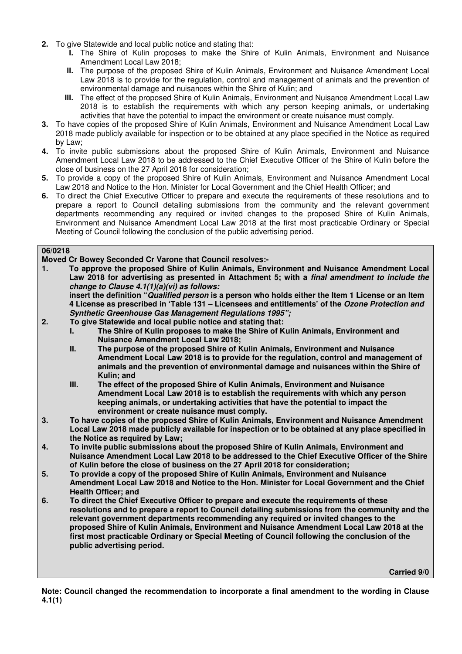- **2.** To give Statewide and local public notice and stating that:
	- **I.** The Shire of Kulin proposes to make the Shire of Kulin Animals, Environment and Nuisance Amendment Local Law 2018;
	- **II.** The purpose of the proposed Shire of Kulin Animals, Environment and Nuisance Amendment Local Law 2018 is to provide for the regulation, control and management of animals and the prevention of environmental damage and nuisances within the Shire of Kulin; and
	- **III.** The effect of the proposed Shire of Kulin Animals, Environment and Nuisance Amendment Local Law 2018 is to establish the requirements with which any person keeping animals, or undertaking activities that have the potential to impact the environment or create nuisance must comply.
- **3.** To have copies of the proposed Shire of Kulin Animals, Environment and Nuisance Amendment Local Law 2018 made publicly available for inspection or to be obtained at any place specified in the Notice as required by Law;
- **4.** To invite public submissions about the proposed Shire of Kulin Animals, Environment and Nuisance Amendment Local Law 2018 to be addressed to the Chief Executive Officer of the Shire of Kulin before the close of business on the 27 April 2018 for consideration;
- **5.** To provide a copy of the proposed Shire of Kulin Animals, Environment and Nuisance Amendment Local Law 2018 and Notice to the Hon. Minister for Local Government and the Chief Health Officer; and
- **6.** To direct the Chief Executive Officer to prepare and execute the requirements of these resolutions and to prepare a report to Council detailing submissions from the community and the relevant government departments recommending any required or invited changes to the proposed Shire of Kulin Animals, Environment and Nuisance Amendment Local Law 2018 at the first most practicable Ordinary or Special Meeting of Council following the conclusion of the public advertising period.

## **06/0218**

**Moved Cr Bowey Seconded Cr Varone that Council resolves:-** 

**1. To approve the proposed Shire of Kulin Animals, Environment and Nuisance Amendment Local Law 2018 for advertising as presented in Attachment 5; with a** *final amendment to include the change to Clause 4.1(1)(a)(vi) as follows:*

 **insert the definition "***Qualified person* **is a person who holds either the Item 1 License or an Item 4 License as prescribed in 'Table 131 – Licensees and entitlements' of the** *Ozone Protection and Synthetic Greenhouse Gas Management Regulations 1995";*

- **2. To give Statewide and local public notice and stating that:** 
	- **I. The Shire of Kulin proposes to make the Shire of Kulin Animals, Environment and Nuisance Amendment Local Law 2018;**
	- **II. The purpose of the proposed Shire of Kulin Animals, Environment and Nuisance Amendment Local Law 2018 is to provide for the regulation, control and management of animals and the prevention of environmental damage and nuisances within the Shire of Kulin; and**
	- **III. The effect of the proposed Shire of Kulin Animals, Environment and Nuisance Amendment Local Law 2018 is to establish the requirements with which any person keeping animals, or undertaking activities that have the potential to impact the environment or create nuisance must comply.**
- **3. To have copies of the proposed Shire of Kulin Animals, Environment and Nuisance Amendment Local Law 2018 made publicly available for inspection or to be obtained at any place specified in the Notice as required by Law;**
- **4. To invite public submissions about the proposed Shire of Kulin Animals, Environment and Nuisance Amendment Local Law 2018 to be addressed to the Chief Executive Officer of the Shire of Kulin before the close of business on the 27 April 2018 for consideration;**<br>**19 To provide a copy of the proposed Shire of Kulin Animals Environment and**
- **5. To provide a copy of the proposed Shire of Kulin Animals, Environment and Nuisance Amendment Local Law 2018 and Notice to the Hon. Minister for Local Government and the Chief Health Officer; and <br>6. To direct the Chief**
- **6. To direct the Chief Executive Officer to prepare and execute the requirements of these resolutions and to prepare a report to Council detailing submissions from the community and the relevant government departments recommending any required or invited changes to the proposed Shire of Kulin Animals, Environment and Nuisance Amendment Local Law 2018 at the first most practicable Ordinary or Special Meeting of Council following the conclusion of the public advertising period.**

 **Carried 9/0** 

**Note: Council changed the recommendation to incorporate a final amendment to the wording in Clause 4.1(1)**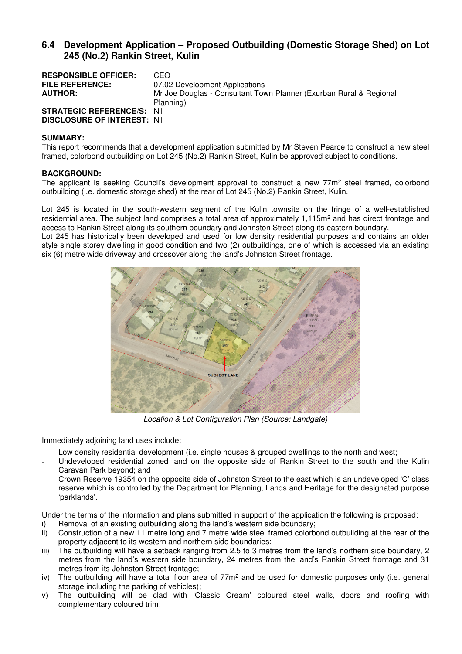# **6.4 Development Application – Proposed Outbuilding (Domestic Storage Shed) on Lot 245 (No.2) Rankin Street, Kulin**

| <b>RESPONSIBLE OFFICER:</b>         | CEO                                                                             |
|-------------------------------------|---------------------------------------------------------------------------------|
| <b>FILE REFERENCE:</b>              | 07.02 Development Applications                                                  |
| <b>AUTHOR:</b>                      | Mr Joe Douglas - Consultant Town Planner (Exurban Rural & Regional<br>Planning) |
| <b>STRATEGIC REFERENCE/S: Nil</b>   |                                                                                 |
| <b>DISCLOSURE OF INTEREST: Nill</b> |                                                                                 |

#### **SUMMARY:**

This report recommends that a development application submitted by Mr Steven Pearce to construct a new steel framed, colorbond outbuilding on Lot 245 (No.2) Rankin Street, Kulin be approved subject to conditions.

#### **BACKGROUND:**

The applicant is seeking Council's development approval to construct a new 77m<sup>2</sup> steel framed, colorbond outbuilding (i.e. domestic storage shed) at the rear of Lot 245 (No.2) Rankin Street, Kulin.

Lot 245 is located in the south-western segment of the Kulin townsite on the fringe of a well-established residential area. The subject land comprises a total area of approximately 1,115m<sup>2</sup> and has direct frontage and access to Rankin Street along its southern boundary and Johnston Street along its eastern boundary.

Lot 245 has historically been developed and used for low density residential purposes and contains an older style single storey dwelling in good condition and two (2) outbuildings, one of which is accessed via an existing six (6) metre wide driveway and crossover along the land's Johnston Street frontage.



*Location & Lot Configuration Plan (Source: Landgate)* 

Immediately adjoining land uses include:

- Low density residential development (i.e. single houses & grouped dwellings to the north and west;
- Undeveloped residential zoned land on the opposite side of Rankin Street to the south and the Kulin Caravan Park beyond; and
- Crown Reserve 19354 on the opposite side of Johnston Street to the east which is an undeveloped 'C' class reserve which is controlled by the Department for Planning, Lands and Heritage for the designated purpose 'parklands'.

Under the terms of the information and plans submitted in support of the application the following is proposed:

- i) Removal of an existing outbuilding along the land's western side boundary;
- ii) Construction of a new 11 metre long and 7 metre wide steel framed colorbond outbuilding at the rear of the property adjacent to its western and northern side boundaries;
- iii) The outbuilding will have a setback ranging from 2.5 to 3 metres from the land's northern side boundary, 2 metres from the land's western side boundary, 24 metres from the land's Rankin Street frontage and 31 metres from its Johnston Street frontage;
- iv) The outbuilding will have a total floor area of  $77<sup>m²</sup>$  and be used for domestic purposes only (i.e. general storage including the parking of vehicles);
- v) The outbuilding will be clad with 'Classic Cream' coloured steel walls, doors and roofing with complementary coloured trim;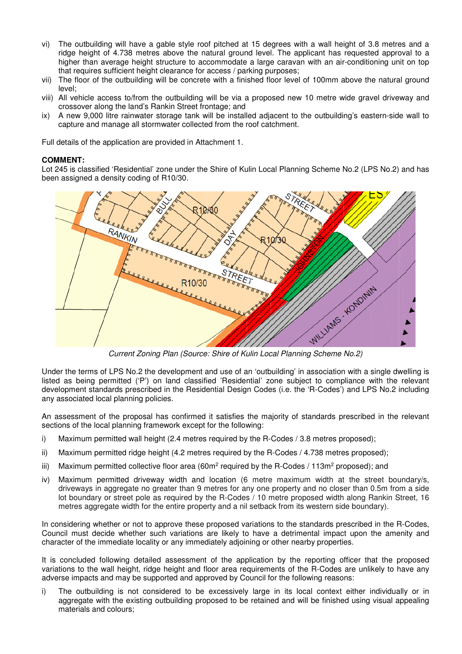- vi) The outbuilding will have a gable style roof pitched at 15 degrees with a wall height of 3.8 metres and a ridge height of 4.738 metres above the natural ground level. The applicant has requested approval to a higher than average height structure to accommodate a large caravan with an air-conditioning unit on top that requires sufficient height clearance for access / parking purposes;
- vii) The floor of the outbuilding will be concrete with a finished floor level of 100mm above the natural ground level;
- viii) All vehicle access to/from the outbuilding will be via a proposed new 10 metre wide gravel driveway and crossover along the land's Rankin Street frontage; and
- ix) A new 9,000 litre rainwater storage tank will be installed adjacent to the outbuilding's eastern-side wall to capture and manage all stormwater collected from the roof catchment.

Full details of the application are provided in Attachment 1.

## **COMMENT:**

Lot 245 is classified 'Residential' zone under the Shire of Kulin Local Planning Scheme No.2 (LPS No.2) and has been assigned a density coding of R10/30.



Under the terms of LPS No.2 the development and use of an 'outbuilding' in association with a single dwelling is listed as being permitted ('P') on land classified 'Residential' zone subject to compliance with the relevant development standards prescribed in the Residential Design Codes (i.e. the 'R-Codes') and LPS No.2 including any associated local planning policies.

An assessment of the proposal has confirmed it satisfies the majority of standards prescribed in the relevant sections of the local planning framework except for the following:

- i) Maximum permitted wall height (2.4 metres required by the R-Codes / 3.8 metres proposed);
- ii) Maximum permitted ridge height (4.2 metres required by the R-Codes / 4.738 metres proposed);
- iii) Maximum permitted collective floor area (60m<sup>2</sup> required by the R-Codes / 113m<sup>2</sup> proposed); and
- iv) Maximum permitted driveway width and location (6 metre maximum width at the street boundary/s, driveways in aggregate no greater than 9 metres for any one property and no closer than 0.5m from a side lot boundary or street pole as required by the R-Codes / 10 metre proposed width along Rankin Street, 16 metres aggregate width for the entire property and a nil setback from its western side boundary).

In considering whether or not to approve these proposed variations to the standards prescribed in the R-Codes, Council must decide whether such variations are likely to have a detrimental impact upon the amenity and character of the immediate locality or any immediately adjoining or other nearby properties.

It is concluded following detailed assessment of the application by the reporting officer that the proposed variations to the wall height, ridge height and floor area requirements of the R-Codes are unlikely to have any adverse impacts and may be supported and approved by Council for the following reasons:

i) The outbuilding is not considered to be excessively large in its local context either individually or in aggregate with the existing outbuilding proposed to be retained and will be finished using visual appealing materials and colours;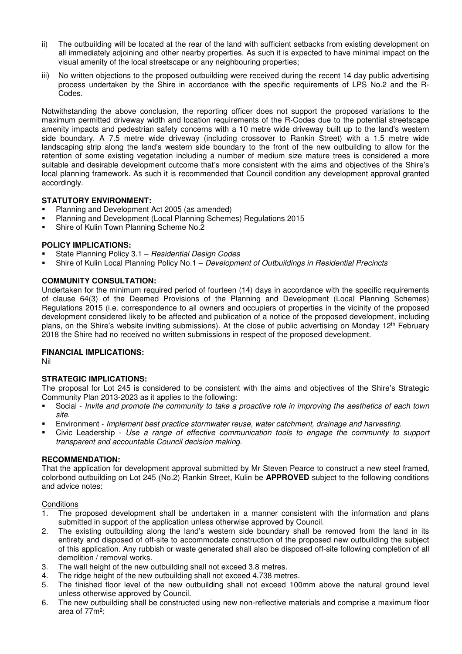- ii) The outbuilding will be located at the rear of the land with sufficient setbacks from existing development on all immediately adjoining and other nearby properties. As such it is expected to have minimal impact on the visual amenity of the local streetscape or any neighbouring properties;
- iii) No written objections to the proposed outbuilding were received during the recent 14 day public advertising process undertaken by the Shire in accordance with the specific requirements of LPS No.2 and the R-Codes.

Notwithstanding the above conclusion, the reporting officer does not support the proposed variations to the maximum permitted driveway width and location requirements of the R-Codes due to the potential streetscape amenity impacts and pedestrian safety concerns with a 10 metre wide driveway built up to the land's western side boundary. A 7.5 metre wide driveway (including crossover to Rankin Street) with a 1.5 metre wide landscaping strip along the land's western side boundary to the front of the new outbuilding to allow for the retention of some existing vegetation including a number of medium size mature trees is considered a more suitable and desirable development outcome that's more consistent with the aims and objectives of the Shire's local planning framework. As such it is recommended that Council condition any development approval granted accordingly.

## **STATUTORY ENVIRONMENT:**

- Planning and Development Act 2005 (as amended)
- Planning and Development (Local Planning Schemes) Regulations 2015
- Shire of Kulin Town Planning Scheme No.2

## **POLICY IMPLICATIONS:**

- State Planning Policy 3.1 *Residential Design Codes*
- Shire of Kulin Local Planning Policy No.1 *Development of Outbuildings in Residential Precincts*

## **COMMUNITY CONSULTATION:**

Undertaken for the minimum required period of fourteen (14) days in accordance with the specific requirements of clause 64(3) of the Deemed Provisions of the Planning and Development (Local Planning Schemes) Regulations 2015 (i.e. correspondence to all owners and occupiers of properties in the vicinity of the proposed development considered likely to be affected and publication of a notice of the proposed development, including plans, on the Shire's website inviting submissions). At the close of public advertising on Monday 12<sup>th</sup> February 2018 the Shire had no received no written submissions in respect of the proposed development.

#### **FINANCIAL IMPLICATIONS:**

Nil

## **STRATEGIC IMPLICATIONS:**

The proposal for Lot 245 is considered to be consistent with the aims and objectives of the Shire's Strategic Community Plan 2013-2023 as it applies to the following:

- Social *Invite and promote the community to take a proactive role in improving the aesthetics of each town site.*
- Environment *Implement best practice stormwater reuse, water catchment, drainage and harvesting.*
- Civic Leadership *Use a range of effective communication tools to engage the community to support transparent and accountable Council decision making.*

#### **RECOMMENDATION:**

That the application for development approval submitted by Mr Steven Pearce to construct a new steel framed, colorbond outbuilding on Lot 245 (No.2) Rankin Street, Kulin be **APPROVED** subject to the following conditions and advice notes:

**Conditions** 

- 1. The proposed development shall be undertaken in a manner consistent with the information and plans submitted in support of the application unless otherwise approved by Council.
- 2. The existing outbuilding along the land's western side boundary shall be removed from the land in its entirety and disposed of off-site to accommodate construction of the proposed new outbuilding the subject of this application. Any rubbish or waste generated shall also be disposed off-site following completion of all demolition / removal works.
- 3. The wall height of the new outbuilding shall not exceed 3.8 metres.
- 4. The ridge height of the new outbuilding shall not exceed 4.738 metres.
- 5. The finished floor level of the new outbuilding shall not exceed 100mm above the natural ground level unless otherwise approved by Council.
- 6. The new outbuilding shall be constructed using new non-reflective materials and comprise a maximum floor area of 77m<sup>2</sup> ;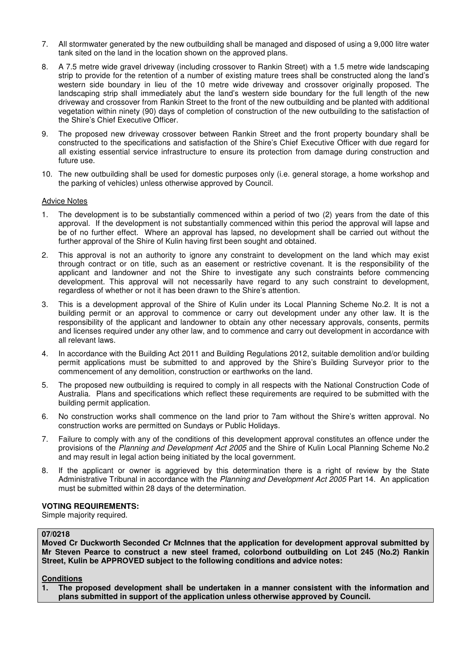- 7. All stormwater generated by the new outbuilding shall be managed and disposed of using a 9,000 litre water tank sited on the land in the location shown on the approved plans.
- 8. A 7.5 metre wide gravel driveway (including crossover to Rankin Street) with a 1.5 metre wide landscaping strip to provide for the retention of a number of existing mature trees shall be constructed along the land's western side boundary in lieu of the 10 metre wide driveway and crossover originally proposed. The landscaping strip shall immediately abut the land's western side boundary for the full length of the new driveway and crossover from Rankin Street to the front of the new outbuilding and be planted with additional vegetation within ninety (90) days of completion of construction of the new outbuilding to the satisfaction of the Shire's Chief Executive Officer.
- 9. The proposed new driveway crossover between Rankin Street and the front property boundary shall be constructed to the specifications and satisfaction of the Shire's Chief Executive Officer with due regard for all existing essential service infrastructure to ensure its protection from damage during construction and future use.
- 10. The new outbuilding shall be used for domestic purposes only (i.e. general storage, a home workshop and the parking of vehicles) unless otherwise approved by Council.

#### Advice Notes

- 1. The development is to be substantially commenced within a period of two (2) years from the date of this approval. If the development is not substantially commenced within this period the approval will lapse and be of no further effect. Where an approval has lapsed, no development shall be carried out without the further approval of the Shire of Kulin having first been sought and obtained.
- 2. This approval is not an authority to ignore any constraint to development on the land which may exist through contract or on title, such as an easement or restrictive covenant. It is the responsibility of the applicant and landowner and not the Shire to investigate any such constraints before commencing development. This approval will not necessarily have regard to any such constraint to development, regardless of whether or not it has been drawn to the Shire's attention.
- 3. This is a development approval of the Shire of Kulin under its Local Planning Scheme No.2. It is not a building permit or an approval to commence or carry out development under any other law. It is the responsibility of the applicant and landowner to obtain any other necessary approvals, consents, permits and licenses required under any other law, and to commence and carry out development in accordance with all relevant laws.
- 4. In accordance with the Building Act 2011 and Building Regulations 2012, suitable demolition and/or building permit applications must be submitted to and approved by the Shire's Building Surveyor prior to the commencement of any demolition, construction or earthworks on the land.
- 5. The proposed new outbuilding is required to comply in all respects with the National Construction Code of Australia. Plans and specifications which reflect these requirements are required to be submitted with the building permit application.
- 6. No construction works shall commence on the land prior to 7am without the Shire's written approval. No construction works are permitted on Sundays or Public Holidays.
- 7. Failure to comply with any of the conditions of this development approval constitutes an offence under the provisions of the *Planning and Development Act 2005* and the Shire of Kulin Local Planning Scheme No.2 and may result in legal action being initiated by the local government.
- 8. If the applicant or owner is aggrieved by this determination there is a right of review by the State Administrative Tribunal in accordance with the *Planning and Development Act 2005* Part 14. An application must be submitted within 28 days of the determination.

#### **VOTING REQUIREMENTS:**

Simple majority required.

## **07/0218**

**Moved Cr Duckworth Seconded Cr McInnes that the application for development approval submitted by Mr Steven Pearce to construct a new steel framed, colorbond outbuilding on Lot 245 (No.2) Rankin Street, Kulin be APPROVED subject to the following conditions and advice notes:** 

#### **Conditions**

**1. The proposed development shall be undertaken in a manner consistent with the information and plans submitted in support of the application unless otherwise approved by Council.**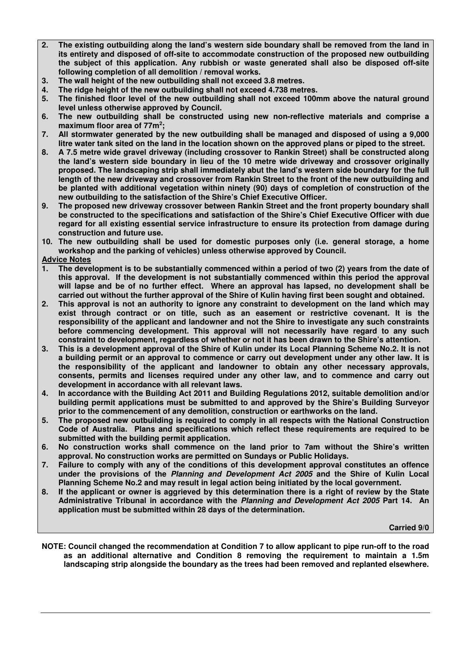- **2. The existing outbuilding along the land's western side boundary shall be removed from the land in its entirety and disposed of off-site to accommodate construction of the proposed new outbuilding the subject of this application. Any rubbish or waste generated shall also be disposed off-site following completion of all demolition / removal works.**
- **3. The wall height of the new outbuilding shall not exceed 3.8 metres.**
- **4. The ridge height of the new outbuilding shall not exceed 4.738 metres.**
- **5. The finished floor level of the new outbuilding shall not exceed 100mm above the natural ground level unless otherwise approved by Council.**
- **6. The new outbuilding shall be constructed using new non-reflective materials and comprise a maximum floor area of 77m<sup>2</sup> ;**
- **7. All stormwater generated by the new outbuilding shall be managed and disposed of using a 9,000 litre water tank sited on the land in the location shown on the approved plans or piped to the street.**
- **8. A 7.5 metre wide gravel driveway (including crossover to Rankin Street) shall be constructed along the land's western side boundary in lieu of the 10 metre wide driveway and crossover originally proposed. The landscaping strip shall immediately abut the land's western side boundary for the full length of the new driveway and crossover from Rankin Street to the front of the new outbuilding and be planted with additional vegetation within ninety (90) days of completion of construction of the new outbuilding to the satisfaction of the Shire's Chief Executive Officer.**
- **9. The proposed new driveway crossover between Rankin Street and the front property boundary shall be constructed to the specifications and satisfaction of the Shire's Chief Executive Officer with due regard for all existing essential service infrastructure to ensure its protection from damage during construction and future use.**
- **10. The new outbuilding shall be used for domestic purposes only (i.e. general storage, a home workshop and the parking of vehicles) unless otherwise approved by Council.**
- **Advice Notes**
- **1. The development is to be substantially commenced within a period of two (2) years from the date of this approval. If the development is not substantially commenced within this period the approval will lapse and be of no further effect. Where an approval has lapsed, no development shall be carried out without the further approval of the Shire of Kulin having first been sought and obtained.**
- **2. This approval is not an authority to ignore any constraint to development on the land which may exist through contract or on title, such as an easement or restrictive covenant. It is the responsibility of the applicant and landowner and not the Shire to investigate any such constraints before commencing development. This approval will not necessarily have regard to any such constraint to development, regardless of whether or not it has been drawn to the Shire's attention.**
- **3. This is a development approval of the Shire of Kulin under its Local Planning Scheme No.2. It is not a building permit or an approval to commence or carry out development under any other law. It is the responsibility of the applicant and landowner to obtain any other necessary approvals, consents, permits and licenses required under any other law, and to commence and carry out development in accordance with all relevant laws.**
- **4. In accordance with the Building Act 2011 and Building Regulations 2012, suitable demolition and/or building permit applications must be submitted to and approved by the Shire's Building Surveyor prior to the commencement of any demolition, construction or earthworks on the land.**
- **5. The proposed new outbuilding is required to comply in all respects with the National Construction Code of Australia. Plans and specifications which reflect these requirements are required to be submitted with the building permit application.**
- **6. No construction works shall commence on the land prior to 7am without the Shire's written approval. No construction works are permitted on Sundays or Public Holidays.**
- **7. Failure to comply with any of the conditions of this development approval constitutes an offence under the provisions of the** *Planning and Development Act 2005* **and the Shire of Kulin Local Planning Scheme No.2 and may result in legal action being initiated by the local government.**
- **8. If the applicant or owner is aggrieved by this determination there is a right of review by the State Administrative Tribunal in accordance with the** *Planning and Development Act 2005* **Part 14. An application must be submitted within 28 days of the determination.**

 **Carried 9/0** 

**NOTE: Council changed the recommendation at Condition 7 to allow applicant to pipe run-off to the road as an additional alternative and Condition 8 removing the requirement to maintain a 1.5m landscaping strip alongside the boundary as the trees had been removed and replanted elsewhere.**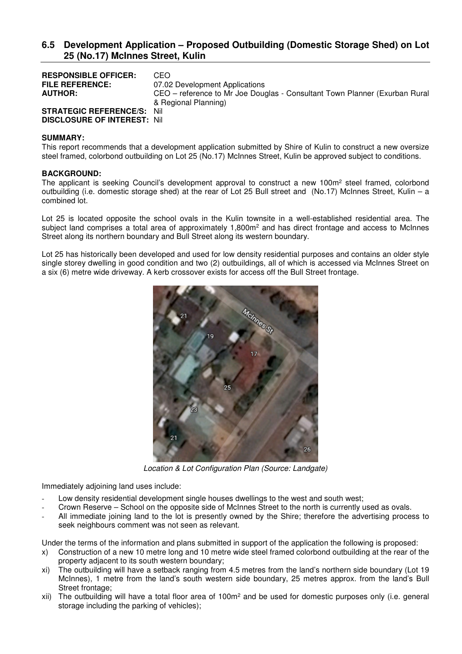# **6.5 Development Application – Proposed Outbuilding (Domestic Storage Shed) on Lot 25 (No.17) McInnes Street, Kulin**

| <b>RESPONSIBLE OFFICER:</b>        | CEO                                                                        |
|------------------------------------|----------------------------------------------------------------------------|
| <b>FILE REFERENCE:</b>             | 07.02 Development Applications                                             |
| <b>AUTHOR:</b>                     | CEO – reference to Mr Joe Douglas - Consultant Town Planner (Exurban Rural |
|                                    | & Regional Planning)                                                       |
| <b>STRATEGIC REFERENCE/S: Nil</b>  |                                                                            |
| <b>DISCLOSURE OF INTEREST: Nil</b> |                                                                            |

#### **SUMMARY:**

This report recommends that a development application submitted by Shire of Kulin to construct a new oversize steel framed, colorbond outbuilding on Lot 25 (No.17) McInnes Street, Kulin be approved subject to conditions.

#### **BACKGROUND:**

The applicant is seeking Council's development approval to construct a new 100m<sup>2</sup> steel framed, colorbond outbuilding (i.e. domestic storage shed) at the rear of Lot 25 Bull street and (No.17) McInnes Street, Kulin – a combined lot.

Lot 25 is located opposite the school ovals in the Kulin townsite in a well-established residential area. The subject land comprises a total area of approximately 1,800m<sup>2</sup> and has direct frontage and access to McInnes Street along its northern boundary and Bull Street along its western boundary.

Lot 25 has historically been developed and used for low density residential purposes and contains an older style single storey dwelling in good condition and two (2) outbuildings, all of which is accessed via McInnes Street on a six (6) metre wide driveway. A kerb crossover exists for access off the Bull Street frontage.



*Location & Lot Configuration Plan (Source: Landgate)* 

Immediately adjoining land uses include:

- Low density residential development single houses dwellings to the west and south west;
- Crown Reserve School on the opposite side of McInnes Street to the north is currently used as ovals.
- All immediate joining land to the lot is presently owned by the Shire; therefore the advertising process to seek neighbours comment was not seen as relevant.

Under the terms of the information and plans submitted in support of the application the following is proposed:

- x) Construction of a new 10 metre long and 10 metre wide steel framed colorbond outbuilding at the rear of the property adjacent to its south western boundary;
- xi) The outbuilding will have a setback ranging from 4.5 metres from the land's northern side boundary (Lot 19 McInnes), 1 metre from the land's south western side boundary, 25 metres approx. from the land's Bull Street frontage;
- xii) The outbuilding will have a total floor area of 100m<sup>2</sup> and be used for domestic purposes only (i.e. general storage including the parking of vehicles);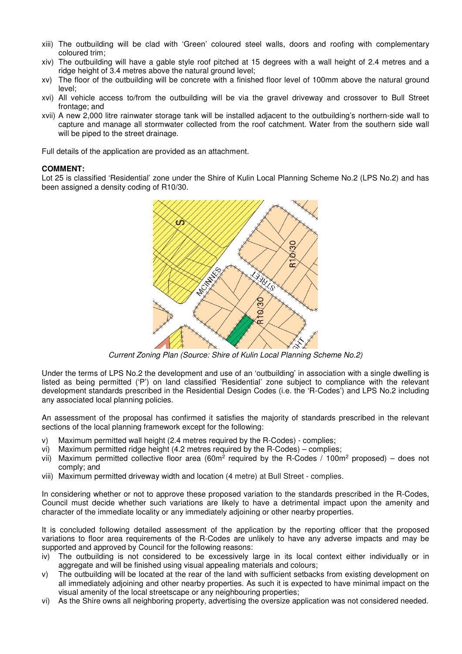- xiii) The outbuilding will be clad with 'Green' coloured steel walls, doors and roofing with complementary coloured trim;
- xiv) The outbuilding will have a gable style roof pitched at 15 degrees with a wall height of 2.4 metres and a ridge height of 3.4 metres above the natural ground level;
- xv) The floor of the outbuilding will be concrete with a finished floor level of 100mm above the natural ground level;
- xvi) All vehicle access to/from the outbuilding will be via the gravel driveway and crossover to Bull Street frontage; and
- xvii) A new 2,000 litre rainwater storage tank will be installed adjacent to the outbuilding's northern-side wall to capture and manage all stormwater collected from the roof catchment. Water from the southern side wall will be piped to the street drainage.

Full details of the application are provided as an attachment.

#### **COMMENT:**

Lot 25 is classified 'Residential' zone under the Shire of Kulin Local Planning Scheme No.2 (LPS No.2) and has been assigned a density coding of R10/30.



*Current Zoning Plan (Source: Shire of Kulin Local Planning Scheme No.2)* 

Under the terms of LPS No.2 the development and use of an 'outbuilding' in association with a single dwelling is listed as being permitted ('P') on land classified 'Residential' zone subject to compliance with the relevant development standards prescribed in the Residential Design Codes (i.e. the 'R-Codes') and LPS No.2 including any associated local planning policies.

An assessment of the proposal has confirmed it satisfies the majority of standards prescribed in the relevant sections of the local planning framework except for the following:

- v) Maximum permitted wall height (2.4 metres required by the R-Codes) complies;
- vi) Maximum permitted ridge height (4.2 metres required by the R-Codes) complies;
- vii) Maximum permitted collective floor area (60m<sup>2</sup> required by the R-Codes / 100m<sup>2</sup> proposed) does not comply; and
- viii) Maximum permitted driveway width and location (4 metre) at Bull Street complies.

In considering whether or not to approve these proposed variation to the standards prescribed in the R-Codes, Council must decide whether such variations are likely to have a detrimental impact upon the amenity and character of the immediate locality or any immediately adjoining or other nearby properties.

It is concluded following detailed assessment of the application by the reporting officer that the proposed variations to floor area requirements of the R-Codes are unlikely to have any adverse impacts and may be supported and approved by Council for the following reasons:

- iv) The outbuilding is not considered to be excessively large in its local context either individually or in aggregate and will be finished using visual appealing materials and colours;
- v) The outbuilding will be located at the rear of the land with sufficient setbacks from existing development on all immediately adjoining and other nearby properties. As such it is expected to have minimal impact on the visual amenity of the local streetscape or any neighbouring properties;
- vi) As the Shire owns all neighboring property, advertising the oversize application was not considered needed.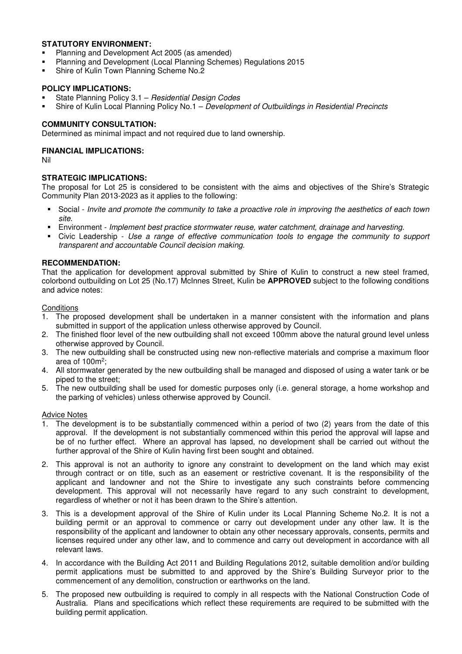## **STATUTORY ENVIRONMENT:**

- Planning and Development Act 2005 (as amended)
- Planning and Development (Local Planning Schemes) Regulations 2015
- Shire of Kulin Town Planning Scheme No.2

## **POLICY IMPLICATIONS:**

- State Planning Policy 3.1 *Residential Design Codes*
- Shire of Kulin Local Planning Policy No.1 *Development of Outbuildings in Residential Precincts*

## **COMMUNITY CONSULTATION:**

Determined as minimal impact and not required due to land ownership.

## **FINANCIAL IMPLICATIONS:**

Nil

#### **STRATEGIC IMPLICATIONS:**

The proposal for Lot 25 is considered to be consistent with the aims and objectives of the Shire's Strategic Community Plan 2013-2023 as it applies to the following:

- Social *Invite and promote the community to take a proactive role in improving the aesthetics of each town site.*
- Environment *Implement best practice stormwater reuse, water catchment, drainage and harvesting.*
- Civic Leadership *Use a range of effective communication tools to engage the community to support transparent and accountable Council decision making.*

#### **RECOMMENDATION:**

That the application for development approval submitted by Shire of Kulin to construct a new steel framed, colorbond outbuilding on Lot 25 (No.17) McInnes Street, Kulin be **APPROVED** subject to the following conditions and advice notes:

#### **Conditions**

- 1. The proposed development shall be undertaken in a manner consistent with the information and plans submitted in support of the application unless otherwise approved by Council.
- 2. The finished floor level of the new outbuilding shall not exceed 100mm above the natural ground level unless otherwise approved by Council.
- 3. The new outbuilding shall be constructed using new non-reflective materials and comprise a maximum floor area of 100m<sup>2</sup> ;
- 4. All stormwater generated by the new outbuilding shall be managed and disposed of using a water tank or be piped to the street;
- 5. The new outbuilding shall be used for domestic purposes only (i.e. general storage, a home workshop and the parking of vehicles) unless otherwise approved by Council.

#### Advice Notes

- 1. The development is to be substantially commenced within a period of two (2) years from the date of this approval. If the development is not substantially commenced within this period the approval will lapse and be of no further effect. Where an approval has lapsed, no development shall be carried out without the further approval of the Shire of Kulin having first been sought and obtained.
- 2. This approval is not an authority to ignore any constraint to development on the land which may exist through contract or on title, such as an easement or restrictive covenant. It is the responsibility of the applicant and landowner and not the Shire to investigate any such constraints before commencing development. This approval will not necessarily have regard to any such constraint to development, regardless of whether or not it has been drawn to the Shire's attention.
- 3. This is a development approval of the Shire of Kulin under its Local Planning Scheme No.2. It is not a building permit or an approval to commence or carry out development under any other law. It is the responsibility of the applicant and landowner to obtain any other necessary approvals, consents, permits and licenses required under any other law, and to commence and carry out development in accordance with all relevant laws.
- 4. In accordance with the Building Act 2011 and Building Regulations 2012, suitable demolition and/or building permit applications must be submitted to and approved by the Shire's Building Surveyor prior to the commencement of any demolition, construction or earthworks on the land.
- 5. The proposed new outbuilding is required to comply in all respects with the National Construction Code of Australia. Plans and specifications which reflect these requirements are required to be submitted with the building permit application.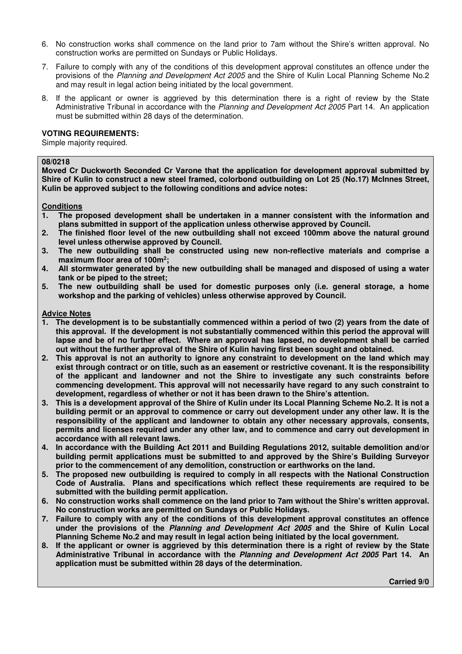- 6. No construction works shall commence on the land prior to 7am without the Shire's written approval. No construction works are permitted on Sundays or Public Holidays.
- 7. Failure to comply with any of the conditions of this development approval constitutes an offence under the provisions of the *Planning and Development Act 2005* and the Shire of Kulin Local Planning Scheme No.2 and may result in legal action being initiated by the local government.
- 8. If the applicant or owner is aggrieved by this determination there is a right of review by the State Administrative Tribunal in accordance with the *Planning and Development Act 2005* Part 14. An application must be submitted within 28 days of the determination.

#### **VOTING REQUIREMENTS:**

Simple majority required.

#### **08/0218**

**Moved Cr Duckworth Seconded Cr Varone that the application for development approval submitted by Shire of Kulin to construct a new steel framed, colorbond outbuilding on Lot 25 (No.17) McInnes Street, Kulin be approved subject to the following conditions and advice notes:** 

### **Conditions**

- **1. The proposed development shall be undertaken in a manner consistent with the information and plans submitted in support of the application unless otherwise approved by Council.**
- **2. The finished floor level of the new outbuilding shall not exceed 100mm above the natural ground level unless otherwise approved by Council.**
- **3. The new outbuilding shall be constructed using new non-reflective materials and comprise a maximum floor area of 100m<sup>2</sup> ;**
- **4. All stormwater generated by the new outbuilding shall be managed and disposed of using a water tank or be piped to the street;**
- **5. The new outbuilding shall be used for domestic purposes only (i.e. general storage, a home workshop and the parking of vehicles) unless otherwise approved by Council.**

#### **Advice Notes**

- **1. The development is to be substantially commenced within a period of two (2) years from the date of this approval. If the development is not substantially commenced within this period the approval will lapse and be of no further effect. Where an approval has lapsed, no development shall be carried out without the further approval of the Shire of Kulin having first been sought and obtained.**
- **2. This approval is not an authority to ignore any constraint to development on the land which may exist through contract or on title, such as an easement or restrictive covenant. It is the responsibility of the applicant and landowner and not the Shire to investigate any such constraints before commencing development. This approval will not necessarily have regard to any such constraint to development, regardless of whether or not it has been drawn to the Shire's attention.**
- **3. This is a development approval of the Shire of Kulin under its Local Planning Scheme No.2. It is not a building permit or an approval to commence or carry out development under any other law. It is the responsibility of the applicant and landowner to obtain any other necessary approvals, consents, permits and licenses required under any other law, and to commence and carry out development in accordance with all relevant laws.**
- **4. In accordance with the Building Act 2011 and Building Regulations 2012, suitable demolition and/or building permit applications must be submitted to and approved by the Shire's Building Surveyor prior to the commencement of any demolition, construction or earthworks on the land.**
- **5. The proposed new outbuilding is required to comply in all respects with the National Construction Code of Australia. Plans and specifications which reflect these requirements are required to be submitted with the building permit application.**
- **6. No construction works shall commence on the land prior to 7am without the Shire's written approval. No construction works are permitted on Sundays or Public Holidays.**
- **7. Failure to comply with any of the conditions of this development approval constitutes an offence under the provisions of the** *Planning and Development Act 2005* **and the Shire of Kulin Local Planning Scheme No.2 and may result in legal action being initiated by the local government.**
- **8. If the applicant or owner is aggrieved by this determination there is a right of review by the State Administrative Tribunal in accordance with the** *Planning and Development Act 2005* **Part 14. An application must be submitted within 28 days of the determination.**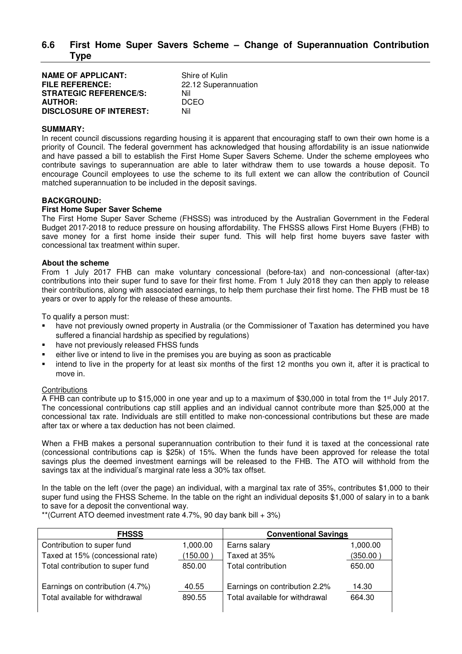# **6.6 First Home Super Savers Scheme – Change of Superannuation Contribution Type**

| <b>NAME OF APPLICANT:</b>      | Shire of Kulin       |
|--------------------------------|----------------------|
| <b>FILE REFERENCE:</b>         | 22.12 Superannuation |
| <b>STRATEGIC REFERENCE/S:</b>  | Nil                  |
| <b>AUTHOR:</b>                 | <b>DCEO</b>          |
| <b>DISCLOSURE OF INTEREST:</b> | Nil                  |

## **SUMMARY:**

In recent council discussions regarding housing it is apparent that encouraging staff to own their own home is a priority of Council. The federal government has acknowledged that housing affordability is an issue nationwide and have passed a bill to establish the First Home Super Savers Scheme. Under the scheme employees who contribute savings to superannuation are able to later withdraw them to use towards a house deposit. To encourage Council employees to use the scheme to its full extent we can allow the contribution of Council matched superannuation to be included in the deposit savings.

#### **BACKGROUND:**

#### **First Home Super Saver Scheme**

The First Home Super Saver Scheme (FHSSS) was introduced by the Australian Government in the Federal Budget 2017-2018 to reduce pressure on housing affordability. The FHSSS allows First Home Buyers (FHB) to save money for a first home inside their super fund. This will help first home buyers save faster with concessional tax treatment within super.

#### **About the scheme**

From 1 July 2017 FHB can make voluntary concessional (before-tax) and non-concessional (after-tax) contributions into their super fund to save for their first home. From 1 July 2018 they can then apply to release their contributions, along with associated earnings, to help them purchase their first home. The FHB must be 18 years or over to apply for the release of these amounts.

To qualify a person must:

- have not previously owned property in Australia (or the Commissioner of Taxation has determined you have suffered a financial hardship as specified by regulations)
- have not previously released FHSS funds
- either live or intend to live in the premises you are buying as soon as practicable
- intend to live in the property for at least six months of the first 12 months you own it, after it is practical to move in.

#### **Contributions**

A FHB can contribute up to \$15,000 in one year and up to a maximum of \$30,000 in total from the 1st July 2017. The concessional contributions cap still applies and an individual cannot contribute more than \$25,000 at the concessional tax rate. Individuals are still entitled to make non-concessional contributions but these are made after tax or where a tax deduction has not been claimed.

When a FHB makes a personal superannuation contribution to their fund it is taxed at the concessional rate (concessional contributions cap is \$25k) of 15%. When the funds have been approved for release the total savings plus the deemed investment earnings will be released to the FHB. The ATO will withhold from the savings tax at the individual's marginal rate less a 30% tax offset.

In the table on the left (over the page) an individual, with a marginal tax rate of 35%, contributes \$1,000 to their super fund using the FHSS Scheme. In the table on the right an individual deposits \$1,000 of salary in to a bank to save for a deposit the conventional way.

\*\*(Current ATO deemed investment rate 4.7%, 90 day bank bill + 3%)

| <b>FHSSS</b>                     | <b>Conventional Savings</b> |                                |          |
|----------------------------------|-----------------------------|--------------------------------|----------|
| Contribution to super fund       | 1,000.00                    | Earns salary                   | 1,000.00 |
| Taxed at 15% (concessional rate) | (150.00)                    | Taxed at 35%                   | (350.00) |
| Total contribution to super fund | 850.00                      | Total contribution             | 650.00   |
| Earnings on contribution (4.7%)  | 40.55                       | Earnings on contribution 2.2%  | 14.30    |
| Total available for withdrawal   | 890.55                      | Total available for withdrawal | 664.30   |
|                                  |                             |                                |          |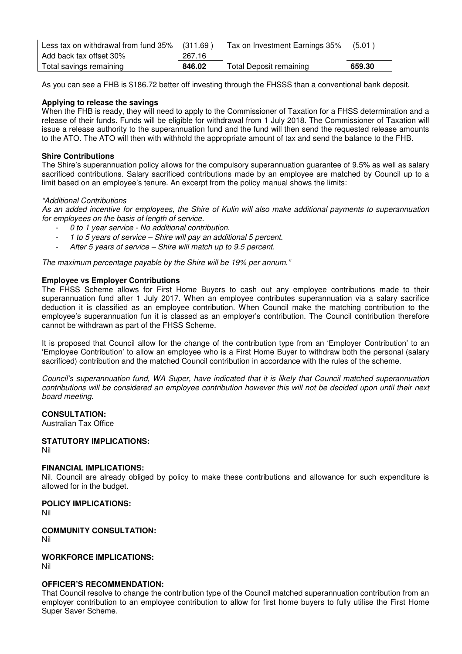| Less tax on withdrawal from fund 35% | (311.69 ) | Tax on Investment Earnings 35% | (5.01) |
|--------------------------------------|-----------|--------------------------------|--------|
| Add back tax offset 30%              | 267.16    |                                |        |
| Total savings remaining              | 846.02    | Total Deposit remaining        | 659.30 |

As you can see a FHB is \$186.72 better off investing through the FHSSS than a conventional bank deposit.

## **Applying to release the savings**

When the FHB is ready, they will need to apply to the Commissioner of Taxation for a FHSS determination and a release of their funds. Funds will be eligible for withdrawal from 1 July 2018. The Commissioner of Taxation will issue a release authority to the superannuation fund and the fund will then send the requested release amounts to the ATO. The ATO will then with withhold the appropriate amount of tax and send the balance to the FHB.

#### **Shire Contributions**

The Shire's superannuation policy allows for the compulsory superannuation guarantee of 9.5% as well as salary sacrificed contributions. Salary sacrificed contributions made by an employee are matched by Council up to a limit based on an employee's tenure. An excerpt from the policy manual shows the limits:

#### *"Additional Contributions*

*As an added incentive for employees, the Shire of Kulin will also make additional payments to superannuation for employees on the basis of length of service.* 

- *0 to 1 year service No additional contribution.*
- *1 to 5 years of service Shire will pay an additional 5 percent.*
- *After 5 years of service Shire will match up to 9.5 percent.*

*The maximum percentage payable by the Shire will be 19% per annum."* 

#### **Employee vs Employer Contributions**

The FHSS Scheme allows for First Home Buyers to cash out any employee contributions made to their superannuation fund after 1 July 2017. When an employee contributes superannuation via a salary sacrifice deduction it is classified as an employee contribution. When Council make the matching contribution to the employee's superannuation fun it is classed as an employer's contribution. The Council contribution therefore cannot be withdrawn as part of the FHSS Scheme.

It is proposed that Council allow for the change of the contribution type from an 'Employer Contribution' to an 'Employee Contribution' to allow an employee who is a First Home Buyer to withdraw both the personal (salary sacrificed) contribution and the matched Council contribution in accordance with the rules of the scheme.

*Council's superannuation fund, WA Super, have indicated that it is likely that Council matched superannuation contributions will be considered an employee contribution however this will not be decided upon until their next board meeting.* 

#### **CONSULTATION:**

Australian Tax Office

## **STATUTORY IMPLICATIONS:**

Nil

#### **FINANCIAL IMPLICATIONS:**

Nil. Council are already obliged by policy to make these contributions and allowance for such expenditure is allowed for in the budget.

#### **POLICY IMPLICATIONS:**

Nil

#### **COMMUNITY CONSULTATION:**

Nil

## **WORKFORCE IMPLICATIONS:**

Nil

#### **OFFICER'S RECOMMENDATION:**

That Council resolve to change the contribution type of the Council matched superannuation contribution from an employer contribution to an employee contribution to allow for first home buyers to fully utilise the First Home Super Saver Scheme.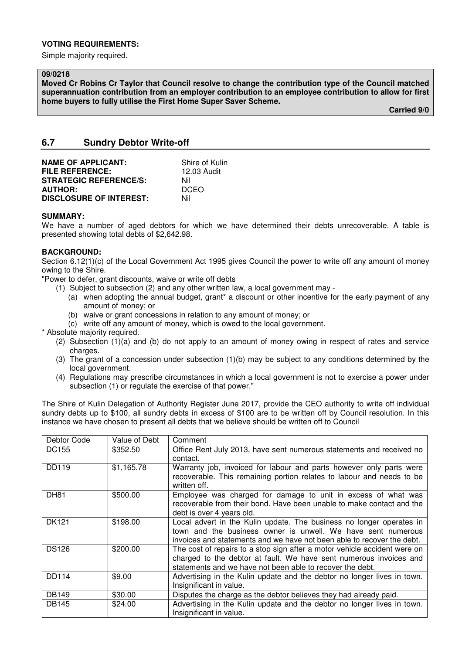## **VOTING REQUIREMENTS:**

Simple majority required.

#### **09/0218**

**Moved Cr Robins Cr Taylor that Council resolve to change the contribution type of the Council matched superannuation contribution from an employer contribution to an employee contribution to allow for first home buyers to fully utilise the First Home Super Saver Scheme.** 

 **Carried 9/0** 

## **6.7 Sundry Debtor Write-off**

| <b>NAME OF APPLICANT:</b>      | Shire of Kulin |
|--------------------------------|----------------|
| <b>FILE REFERENCE:</b>         | 12.03 Audit    |
| <b>STRATEGIC REFERENCE/S:</b>  | Nil            |
| <b>AUTHOR:</b>                 | <b>DCEO</b>    |
| <b>DISCLOSURE OF INTEREST:</b> | Nil            |

#### **SUMMARY:**

We have a number of aged debtors for which we have determined their debts unrecoverable. A table is presented showing total debts of \$2,642.98.

#### **BACKGROUND:**

Section 6.12(1)(c) of the Local Government Act 1995 gives Council the power to write off any amount of money owing to the Shire.

"Power to defer, grant discounts, waive or write off debts

- (1) Subject to subsection (2) and any other written law, a local government may
	- (a) when adopting the annual budget, grant\* a discount or other incentive for the early payment of any amount of money; or
	- (b) waive or grant concessions in relation to any amount of money; or
- (c) write off any amount of money, which is owed to the local government.

\* Absolute majority required.

- (2) Subsection (1)(a) and (b) do not apply to an amount of money owing in respect of rates and service charges.
- (3) The grant of a concession under subsection (1)(b) may be subject to any conditions determined by the local government.
- (4) Regulations may prescribe circumstances in which a local government is not to exercise a power under subsection (1) or regulate the exercise of that power."

The Shire of Kulin Delegation of Authority Register June 2017, provide the CEO authority to write off individual sundry debts up to \$100, all sundry debts in excess of \$100 are to be written off by Council resolution. In this instance we have chosen to present all debts that we believe should be written off to Council

| Debtor Code  | Value of Debt | Comment                                                                                                                                                                                                        |
|--------------|---------------|----------------------------------------------------------------------------------------------------------------------------------------------------------------------------------------------------------------|
| DC155        | \$352.50      | Office Rent July 2013, have sent numerous statements and received no<br>contact.                                                                                                                               |
| <b>DD119</b> | \$1,165.78    | Warranty job, invoiced for labour and parts however only parts were<br>recoverable. This remaining portion relates to labour and needs to be<br>written off.                                                   |
| <b>DH81</b>  | \$500.00      | Employee was charged for damage to unit in excess of what was<br>recoverable from their bond. Have been unable to make contact and the<br>debt is over 4 years old.                                            |
| <b>DK121</b> | \$198.00      | Local advert in the Kulin update. The business no longer operates in<br>town and the business owner is unwell. We have sent numerous<br>invoices and statements and we have not been able to recover the debt. |
| <b>DS126</b> | \$200.00      | The cost of repairs to a stop sign after a motor vehicle accident were on<br>charged to the debtor at fault. We have sent numerous invoices and<br>statements and we have not been able to recover the debt.   |
| <b>DD114</b> | \$9.00        | Advertising in the Kulin update and the debtor no longer lives in town.<br>Insignificant in value.                                                                                                             |
| <b>DB149</b> | \$30.00       | Disputes the charge as the debtor believes they had already paid.                                                                                                                                              |
| <b>DB145</b> | \$24.00       | Advertising in the Kulin update and the debtor no longer lives in town.<br>Insignificant in value.                                                                                                             |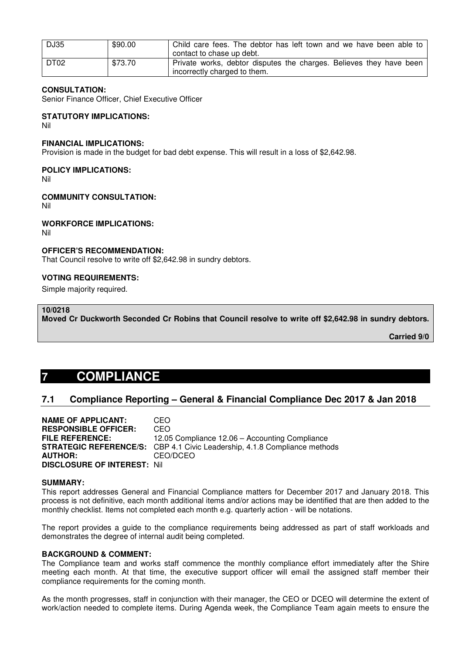| DJ35             | \$90.00 | Child care fees. The debtor has left town and we have been able to<br>contact to chase up debt.                  |
|------------------|---------|------------------------------------------------------------------------------------------------------------------|
| DT <sub>02</sub> | \$73.70 | Private works, debtor disputes the charges. Believes they have been<br><sup>1</sup> incorrectly charged to them. |

#### **CONSULTATION:**

Senior Finance Officer, Chief Executive Officer

### **STATUTORY IMPLICATIONS:**

Nil

#### **FINANCIAL IMPLICATIONS:**

Provision is made in the budget for bad debt expense. This will result in a loss of \$2,642.98.

#### **POLICY IMPLICATIONS:**

Nil

#### **COMMUNITY CONSULTATION:**

Nil

#### **WORKFORCE IMPLICATIONS:**

Nil

## **OFFICER'S RECOMMENDATION:**

That Council resolve to write off \$2,642.98 in sundry debtors.

## **VOTING REQUIREMENTS:**

Simple majority required.

## **10/0218**

**Moved Cr Duckworth Seconded Cr Robins that Council resolve to write off \$2,642.98 in sundry debtors.**

 **Carried 9/0** 

# **7 COMPLIANCE**

# **7.1 Compliance Reporting – General & Financial Compliance Dec 2017 & Jan 2018**

**NAME OF APPLICANT:** CEO **RESPONSIBLE OFFICER:** CEO **FILE REFERENCE:** 12.05 Compliance 12.06 – Accounting Compliance **STRATEGIC REFERENCE/S:** CBP 4.1 Civic Leadership, 4.1.8 Compliance methods **AUTHOR:** CEO/DCEO **DISCLOSURE OF INTEREST:** Nil

#### **SUMMARY:**

This report addresses General and Financial Compliance matters for December 2017 and January 2018. This process is not definitive, each month additional items and/or actions may be identified that are then added to the monthly checklist. Items not completed each month e.g. quarterly action - will be notations.

The report provides a guide to the compliance requirements being addressed as part of staff workloads and demonstrates the degree of internal audit being completed.

#### **BACKGROUND & COMMENT:**

The Compliance team and works staff commence the monthly compliance effort immediately after the Shire meeting each month. At that time, the executive support officer will email the assigned staff member their compliance requirements for the coming month.

As the month progresses, staff in conjunction with their manager, the CEO or DCEO will determine the extent of work/action needed to complete items. During Agenda week, the Compliance Team again meets to ensure the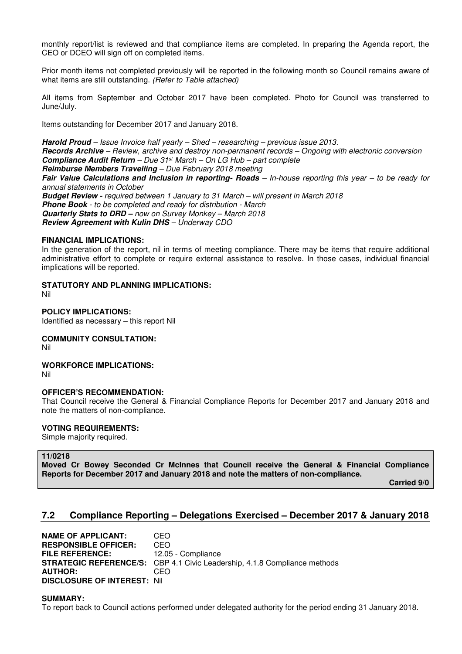monthly report/list is reviewed and that compliance items are completed. In preparing the Agenda report, the CEO or DCEO will sign off on completed items.

Prior month items not completed previously will be reported in the following month so Council remains aware of what items are still outstanding. *(Refer to Table attached)* 

All items from September and October 2017 have been completed. Photo for Council was transferred to June/July.

Items outstanding for December 2017 and January 2018.

*Harold Proud – Issue Invoice half yearly – Shed – researching – previous issue 2013. Records Archive – Review, archive and destroy non-permanent records – Ongoing with electronic conversion Compliance Audit Return – Due 31st March – On LG Hub – part complete Reimburse Members Travelling – Due February 2018 meeting Fair Value Calculations and Inclusion in reporting- Roads – In-house reporting this year – to be ready for annual statements in October Budget Review - required between 1 January to 31 March – will present in March 2018 Phone Book - to be completed and ready for distribution - March Quarterly Stats to DRD – now on Survey Monkey – March 2018 Review Agreement with Kulin DHS – Underway CDO* 

#### **FINANCIAL IMPLICATIONS:**

In the generation of the report, nil in terms of meeting compliance. There may be items that require additional administrative effort to complete or require external assistance to resolve. In those cases, individual financial implications will be reported.

**STATUTORY AND PLANNING IMPLICATIONS:** 

Nil

**POLICY IMPLICATIONS:**  Identified as necessary – this report Nil

**COMMUNITY CONSULTATION:** 

Nil

**WORKFORCE IMPLICATIONS:** 

Nil

## **OFFICER'S RECOMMENDATION:**

That Council receive the General & Financial Compliance Reports for December 2017 and January 2018 and note the matters of non-compliance.

## **VOTING REQUIREMENTS:**

Simple majority required.

#### **11/0218**

**Moved Cr Bowey Seconded Cr McInnes that Council receive the General & Financial Compliance Reports for December 2017 and January 2018 and note the matters of non-compliance.** 

 **Carried 9/0** 

# **7.2 Compliance Reporting – Delegations Exercised – December 2017 & January 2018**

| <b>NAME OF APPLICANT:</b>           | CEO                                                                              |
|-------------------------------------|----------------------------------------------------------------------------------|
| <b>RESPONSIBLE OFFICER:</b>         | CEO                                                                              |
| <b>FILE REFERENCE:</b>              | 12.05 - Compliance                                                               |
|                                     | <b>STRATEGIC REFERENCE/S:</b> CBP 4.1 Civic Leadership, 4.1.8 Compliance methods |
| <b>AUTHOR:</b>                      | CEO.                                                                             |
| <b>DISCLOSURE OF INTEREST: Nill</b> |                                                                                  |

#### **SUMMARY:**

To report back to Council actions performed under delegated authority for the period ending 31 January 2018.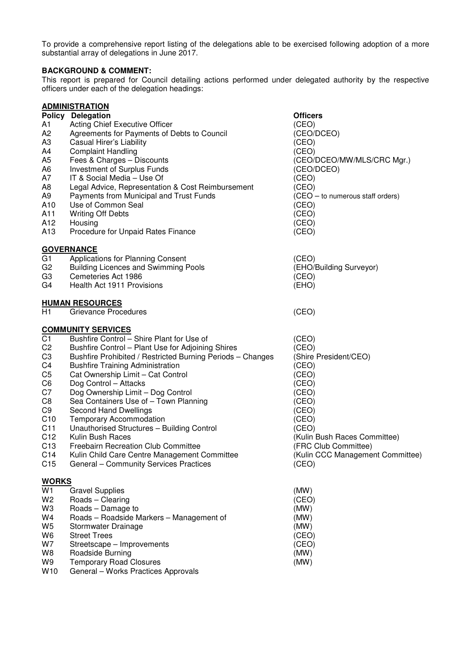To provide a comprehensive report listing of the delegations able to be exercised following adoption of a more substantial array of delegations in June 2017.

## **BACKGROUND & COMMENT:**

This report is prepared for Council detailing actions performed under delegated authority by the respective officers under each of the delegation headings:

| <b>ADMINISTRATION</b> |                                                            |                                  |  |  |
|-----------------------|------------------------------------------------------------|----------------------------------|--|--|
|                       | <b>Policy Delegation</b>                                   | <b>Officers</b>                  |  |  |
| A1                    | Acting Chief Executive Officer                             | (CEO)                            |  |  |
| A2                    | Agreements for Payments of Debts to Council                | (CEO/DCEO)                       |  |  |
| A3                    | Casual Hirer's Liability                                   | (CEO)                            |  |  |
| A4                    | <b>Complaint Handling</b>                                  | (CEO)                            |  |  |
| A5                    | Fees & Charges - Discounts                                 | (CEO/DCEO/MW/MLS/CRC Mgr.)       |  |  |
| A6                    | Investment of Surplus Funds                                | (CEO/DCEO)                       |  |  |
| Α7                    | IT & Social Media - Use Of                                 | (CEO)                            |  |  |
| A8                    | Legal Advice, Representation & Cost Reimbursement          | (CEO)                            |  |  |
| A9                    | Payments from Municipal and Trust Funds                    | (CEO - to numerous staff orders) |  |  |
| A10                   | Use of Common Seal                                         | (CEO)                            |  |  |
| A11                   | <b>Writing Off Debts</b>                                   | (CEO)                            |  |  |
| A12                   | Housing                                                    | (CEO)                            |  |  |
| A13                   | Procedure for Unpaid Rates Finance                         | (CEO)                            |  |  |
|                       | <b>GOVERNANCE</b>                                          |                                  |  |  |
| G1                    | Applications for Planning Consent                          | (CEO)                            |  |  |
| G2                    | <b>Building Licences and Swimming Pools</b>                | (EHO/Building Surveyor)          |  |  |
| G3                    | Cemeteries Act 1986                                        | (CEO)                            |  |  |
| G4                    | Health Act 1911 Provisions                                 | (EHO)                            |  |  |
|                       | <b>HUMAN RESOURCES</b>                                     |                                  |  |  |
| H <sub>1</sub>        | Grievance Procedures                                       | (CEO)                            |  |  |
|                       | <b>COMMUNITY SERVICES</b>                                  |                                  |  |  |
| C <sub>1</sub>        | Bushfire Control - Shire Plant for Use of                  | (CEO)                            |  |  |
| C <sub>2</sub>        | Bushfire Control - Plant Use for Adjoining Shires          | (CEO)                            |  |  |
| CЗ                    | Bushfire Prohibited / Restricted Burning Periods - Changes | (Shire President/CEO)            |  |  |
| C4                    | <b>Bushfire Training Administration</b>                    | (CEO)                            |  |  |
| C5                    | Cat Ownership Limit - Cat Control                          | (CEO)                            |  |  |
| C6                    | Dog Control - Attacks                                      | (CEO)                            |  |  |
| C7                    | Dog Ownership Limit - Dog Control                          | (CEO)                            |  |  |
| C8                    | Sea Containers Use of - Town Planning                      | (CEO)                            |  |  |
| C9                    | Second Hand Dwellings                                      | (CEO)                            |  |  |
| C <sub>10</sub>       | <b>Temporary Accommodation</b>                             | (CEO)                            |  |  |
| C <sub>11</sub>       | Unauthorised Structures - Building Control                 | (CEO)                            |  |  |
| C12                   | Kulin Bush Races                                           | (Kulin Bush Races Committee)     |  |  |
| C13                   | Freebairn Recreation Club Committee                        | (FRC Club Committee)             |  |  |
| C14                   | Kulin Child Care Centre Management Committee               | (Kulin CCC Management Committee) |  |  |
| C <sub>15</sub>       | General - Community Services Practices                     | (CEO)                            |  |  |
| <u>WORKS</u>          |                                                            |                                  |  |  |
| W1                    | <b>Gravel Supplies</b>                                     | (MW)                             |  |  |
| W2                    | Roads - Clearing                                           | (CEO)                            |  |  |
| WЗ                    | Roads - Damage to                                          | (MW)                             |  |  |
| W4                    | Roads - Roadside Markers - Management of                   | (MW)                             |  |  |
| W5                    | Stormwater Drainage                                        | (MW)                             |  |  |
| W6                    | <b>Street Trees</b>                                        | (CEO)                            |  |  |
| W7                    | Streetscape - Improvements                                 | (CEO)                            |  |  |
| W8                    | Roadside Burning                                           | (MW)                             |  |  |
| W9                    | <b>Temporary Road Closures</b>                             | (MW)                             |  |  |
| W10                   | General - Works Practices Approvals                        |                                  |  |  |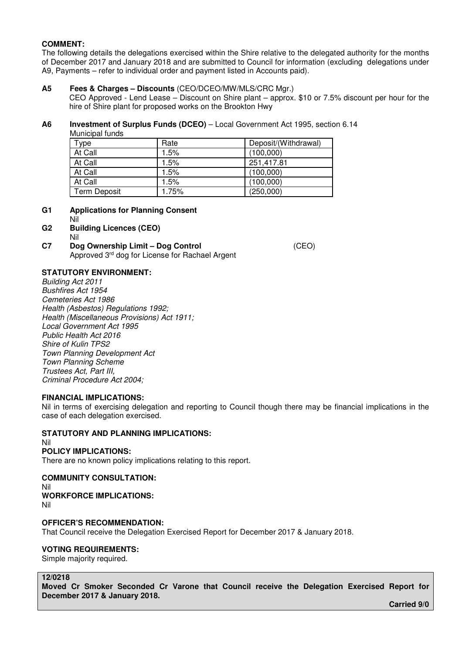## **COMMENT:**

The following details the delegations exercised within the Shire relative to the delegated authority for the months of December 2017 and January 2018 and are submitted to Council for information (excluding delegations under A9, Payments – refer to individual order and payment listed in Accounts paid).

## **A5 Fees & Charges – Discounts** (CEO/DCEO/MW/MLS/CRC Mgr.)

 CEO Approved - Lend Lease – Discount on Shire plant – approx. \$10 or 7.5% discount per hour for the hire of Shire plant for proposed works on the Brookton Hwy

#### **A6 Investment of Surplus Funds (DCEO)** – Local Government Act 1995, section 6.14 Municipal funds

| Type         | Rate  | Deposit/(Withdrawal) |  |  |
|--------------|-------|----------------------|--|--|
| At Call      | 1.5%  | (100,000)            |  |  |
| At Call      | 1.5%  | 251,417.81           |  |  |
| At Call      | 1.5%  | (100,000)            |  |  |
| At Call      | 1.5%  | (100,000)            |  |  |
| Term Deposit | 1.75% | (250,000)            |  |  |

- **G1 Applications for Planning Consent**  Nil
- **G2 Building Licences (CEO)**  Nil

## **C7 Dog Ownership Limit – Dog Control** (CEO) Approved 3rd dog for License for Rachael Argent

## **STATUTORY ENVIRONMENT:**

*Building Act 2011 Bushfires Act 1954 Cemeteries Act 1986 Health (Asbestos) Regulations 1992; Health (Miscellaneous Provisions) Act 1911; Local Government Act 1995 Public Health Act 2016 Shire of Kulin TPS2 Town Planning Development Act Town Planning Scheme Trustees Act, Part III, Criminal Procedure Act 2004;* 

## **FINANCIAL IMPLICATIONS:**

Nil in terms of exercising delegation and reporting to Council though there may be financial implications in the case of each delegation exercised.

## **STATUTORY AND PLANNING IMPLICATIONS:**

Nil

## **POLICY IMPLICATIONS:**

There are no known policy implications relating to this report.

**COMMUNITY CONSULTATION:**  Nil **WORKFORCE IMPLICATIONS:**  Nil

## **OFFICER'S RECOMMENDATION:**

That Council receive the Delegation Exercised Report for December 2017 & January 2018.

## **VOTING REQUIREMENTS:**

Simple majority required.

## **12/0218**

**Moved Cr Smoker Seconded Cr Varone that Council receive the Delegation Exercised Report for December 2017 & January 2018.** 

 **Carried 9/0**